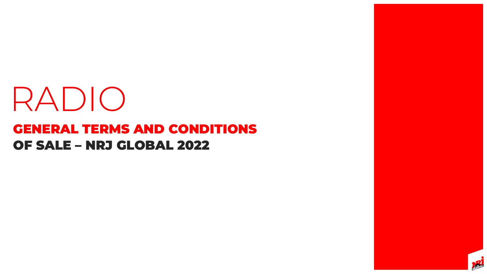# OF SALE – NRJ GLOBAL 2022 GENERAL TERMS AND CONDITIONS RADIO



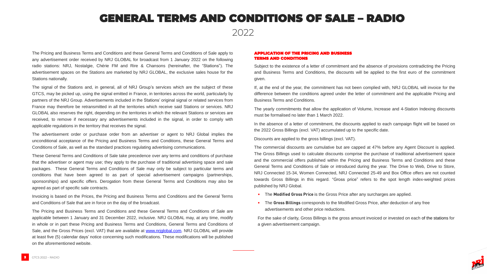### GENERAL TERMS AND CONDITIONS OF SALE – RADIO

2022

The Pricing and Business Terms and Conditions and these General Terms and Conditions of Sale apply to any advertisement order received by NRJ GLOBAL for broadcast from 1 January 2022 on the following radio stations: NRJ, Nostalgie, Chérie FM and Rire & Chansons (hereinafter, the "Stations"). The advertisement spaces on the Stations are marketed by NRJ GLOBAL, the exclusive sales house for the Stations nationally.

The signal of the Stations and, in general, all of NRJ Group's services which are the subject of these GTCS, may be picked up, using the signal emitted in France, in territories across the world, particularly by partners of the NRJ Group. Advertisements included in the Stations' original signal or related services from France may therefore be retransmitted in all the territories which receive said Stations or services. NRJ GLOBAL also reserves the right, depending on the territories in which the relevant Stations or services are received, to remove if necessary any advertisements included in the signal, in order to comply with applicable regulations in the territory that receives the signal.

The advertisement order or purchase order from an advertiser or agent to NRJ Global implies the unconditional acceptance of the Pricing and Business Terms and Conditions, these General Terms and Conditions of Sale, as well as the standard practices regulating advertising communications.

These General Terms and Conditions of Sale take precedence over any terms and conditions of purchase that the advertiser or agent may use; they apply to the purchase of traditional advertising space and sale packages. These General Terms and Conditions of Sale may only be subject to particular terms and conditions that have been agreed to as part of special advertisement campaigns (partnerships, sponsorships) and specific offers. Derogation from these General Terms and Conditions may also be agreed as part of specific sale contracts.

In the absence of a letter of commitment, the discounts applied to each campaign flight will be based on the 2022 Gross Billings (excl. VAT) accumulated up to the specific date.

Invoicing is based on the Prices, the Pricing and Business Terms and Conditions and the General Terms and Conditions of Sale that are in force on the day of the broadcast.

The Pricing and Business Terms and Conditions and these General Terms and Conditions of Sale are applicable between 1 January and 31 December 2022, inclusive. NRJ GLOBAL may, at any time, modify in whole or in part these Pricing and Business Terms and Conditions, General Terms and Conditions of Sale, and the Gross Prices (excl. VAT) that are available at [www.nrjglobal.com.](http://www.nrjglobal.com/) NRJ GLOBAL will provide at least five (5) calendar days' notice concerning such modifications. These modifications will be published on the aforementioned website.

#### APPLICATION OF THE PRICING AND BUSINESS TERMS AND CONDITIONS

Subject to the existence of a letter of commitment and the absence of provisions contradicting the Pricing and Business Terms and Conditions, the discounts will be applied to the first euro of the commitment given.

If, at the end of the year, the commitment has not been complied with, NRJ GLOBAL will invoice for the difference between the conditions agreed under the letter of commitment and the applicable Pricing and Business Terms and Conditions.

The yearly commitments that allow the application of Volume, Increase and 4-Station Indexing discounts must be formalised no later than 1 March 2022.

Discounts are applied to the gross billings (excl. VAT).

The commercial discounts are cumulative but are capped at 47% before any Agent Discount is applied. The Gross Billings used to calculate discounts comprise the purchase of traditional advertisement space and the commercial offers published within the Pricing and Business Terms and Conditions and these General Terms and Conditions of Sale or introduced during the year. The Drive to Web, Drive to Store, NRJ Connected 15-34, Women Connected, NRJ Connected 25-49 and Box Office offers are not counted towards Gross Billings in this regard. "Gross price" refers to the spot length index-weighted prices published by NRJ Global.

**•** The **Modified Gross Price** is the Gross Price after any surcharges are applied.

**•** The **Gross Billings** corresponds to the Modified Gross Price, after deduction of any free

- 
- advertisements and other price reductions.

For the sake of clarity, Gross Billings is the gross amount invoiced or invested on each of the stations for



a given advertisement campaign.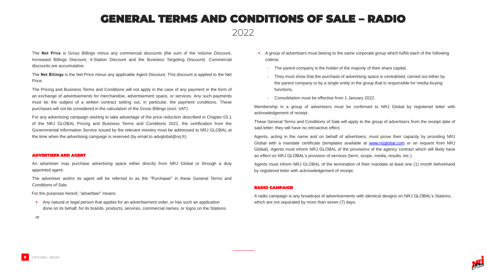The **Net Price** is Gross Billings minus any commercial discounts (the sum of the Volume Discount, Increased Billings Discount, 4-Station Discount and the Business Targeting Discount). Commercial discounts are accumulative.

The **Net Billings** is the Net Price minus any applicable Agent Discount. This discount is applied to the Net Price.

The Pricing and Business Terms and Conditions will not apply in the case of any payment in the form of an exchange of advertisements for merchandise, advertisement space, or services. Any such payments must be the subject of a written contract setting out, in particular, the payment conditions. These purchases will not be considered in the calculation of the Gross Billings (excl. VAT).

For any advertising campaign wishing to take advantage of the price reduction described in Chapter 03.1 of the NRJ GLOBAL Pricing and Business Terms and Conditions 2022, the certification from the Governmental Information Service issued by the relevant ministry must be addressed to NRJ GLOBAL at the time when the advertising campaign is reserved (by email to advglobal@nrj.fr).

#### ADVERTISER AND AGENT

An advertiser may purchase advertising space either directly from NRJ Global or through a duly appointed agent.

The advertiser and/or its agent will be referred to as the "Purchaser" in these General Terms and Conditions of Sale.

For the purposes hereof, "advertiser" means:

**•** Any natural or legal person that applies for an advertisement order, or has such an application done on its behalf, for its brands, products, services, commercial names, or logos on the Stations.

or

**•** A group of advertisers must belong to the same corporate group which fulfils each of the following

**·** The parent company is the holder of the majority of their share capital,

- criteria:
	-
	- functions,
	-

**·** They must show that the purchase of advertising space is centralised, carried out either by the parent company or by a single entity in the group that is responsible for media-buying

**·** Consolidation must be effective from 1 January 2022.

Membership in a group of advertisers must be confirmed to NRJ Global by registered letter with



acknowledgement of receipt.

These General Terms and Conditions of Sale will apply to the group of advertisers from the receipt date of said letter; they will have no retroactive effect.

Agents, acting in the name and on behalf of advertisers, must prove their capacity by providing NRJ Global with a mandate certificate (templates available at [www.nrjglobal.com](http://www.nrjglobal.com/) or on request from NRJ Global). Agents must inform NRJ GLOBAL of the provisions of the agency contract which will likely have an effect on NRJ GLOBAL's provision of services (term, scope, media, results, etc.).

Agents must inform NRJ GLOBAL of the termination of their mandate at least one (1) month beforehand by registered letter with acknowledgement of receipt.

#### RADIO CAMPAIGN

A radio campaign is any broadcast of advertisements with identical designs on NRJ GLOBAL's Stations, which are not separated by more than seven (7) days.

### GENERAL TERMS AND CONDITIONS OF SALE – RADIO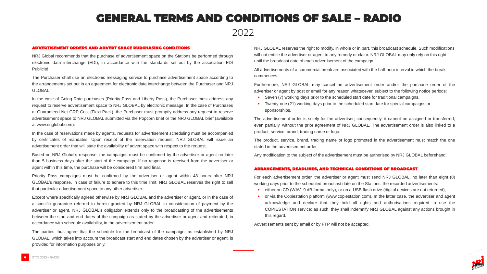#### ADVERTISEMENT ORDERS AND ADVERT SPACE PURCHASING CONDITIONS

NRJ Global recommends that the purchase of advertisement space on the Stations be performed through electronic data interchange (EDI), in accordance with the standards set out by the association EDI Publicité.

The Purchaser shall use an electronic messaging service to purchase advertisement space according to the arrangements set out in an agreement for electronic data interchange between the Purchaser and NRJ GLOBAL.

In the case of Going Rate purchases (Priority Pass and Liberty Pass), the Purchaser must address any request to reserve advertisement space to NRJ GLOBAL by electronic message. In the case of Purchases at Guaranteed Net GRP Cost (Flexi Pack), the Purchaser must promptly address any request to reserve advertisement space to NRJ GLOBAL submitted via the Popcorn brief or the NRJ GLOBAL brief (available at www.nrjglobal.com).

In the case of reservations made by agents, requests for advertisement scheduling must be accompanied by certificates of mandates. Upon receipt of the reservation request, NRJ GLOBAL will issue an advertisement order that will state the availability of advert space with respect to the request.

Based on NRJ Global's response, the campaigns must be confirmed by the advertiser or agent no later than 5 business days after the start of the campaign. If no response is received from the advertiser or agent within this time, the purchase will be considered firm and final.

Priority Pass campaigns must be confirmed by the advertiser or agent within 48 hours after NRJ GLOBAL's response. In case of failure to adhere to this time limit, NRJ GLOBAL reserves the right to sell that particular advertisement space to any other advertiser.

Except where specifically agreed otherwise by NRJ GLOBAL and the advertiser or agent, or in the case of a specific guarantee referred to herein granted by NRJ GLOBAL in consideration of payment by the advertiser or agent, NRJ GLOBAL's obligation extends only to the broadcasting of the advertisements between the start and end dates of the campaign as stated by the advertiser or agent and reiterated, in accordance with schedule availability, in the advertisement order.

The parties thus agree that the schedule for the broadcast of the campaign, as established by NRJ GLOBAL, which takes into account the broadcast start and end dates chosen by the advertiser or agent, is provided for information purposes only.

NRJ GLOBAL reserves the right to modify, in whole or in part, this broadcast schedule. Such modifications will not entitle the advertiser or agent to any remedy or claim. NRJ GLOBAL may only rely on this right until the broadcast date of each advertisement of the campaign.

All advertisements of a commercial break are associated with the half-hour interval in which the break

commences.

Furthermore, NRJ GLOBAL may cancel an advertisement order and/or the purchase order of the advertiser or agent by post or email for any reason whatsoever, subject to the following notice periods: **•** Seven (7) working days prior to the scheduled start date for traditional campaigns, **•** Twenty-one (21) working days prior to the scheduled start date for special campaigns or

- 
- sponsorships.

The advertisement order is solely for the advertiser; consequently, it cannot be assigned or transferred, even partially, without the prior agreement of NRJ GLOBAL. The advertisement order is also linked to a product, service, brand, trading name or logo.

The product, service, brand, trading name or logo promoted in the advertisement must match the one

stated in the advertisement order.

Any modification to the subject of the advertisement must be authorised by NRJ GLOBAL beforehand.

#### ARRANGEMENTS, DEADLINES, AND TECHNICAL CONDITIONS OF BROADCAST

For each advertisement order, the advertiser or agent must send NRJ GLOBAL, no later than eight (8) working days prior to the scheduled broadcast date on the Stations, the recorded advertisements:

**•** either on CD (WAV -9 dB format only), or on a USB flash drive (digital devices are not returned),

**•** or via the Copiestation platform (www.copiestation.com). In the latter case, the advertiser and agent acknowledge and declare that they hold all rights and authorisations required to use the COPIESTATION service; as such, they shall indemnify NRJ GLOBAL against any actions brought in



- 
- this regard.

Advertisements sent by email or by FTP will not be accepted.

### GENERAL TERMS AND CONDITIONS OF SALE – RADIO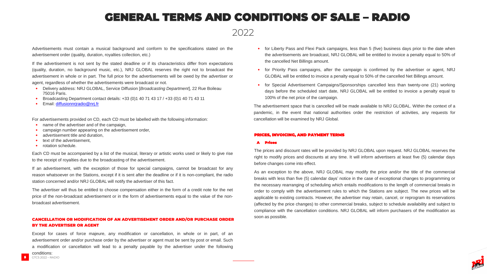Advertisements must contain a musical background and conform to the specifications stated on the advertisement order (quality, duration, royalties collection, etc.)

If the advertisement is not sent by the stated deadline or if its characteristics differ from expectations (quality, duration, no background music, etc.), NRJ GLOBAL reserves the right not to broadcast the advertisement in whole or in part. The full price for the advertisements will be owed by the advertiser or agent, regardless of whether the advertisements were broadcast or not.

- **•** Delivery address: NRJ GLOBAL, Service Diffusion [*Broadcasting Department*], 22 Rue Boileau 75016 Paris.
- **•** Broadcasting Department contact details: +33 (0)1 40 71 43 17 / +33 (0)1 40 71 43 11
- **•** Email: [diffusionnrjr](mailto:diffusionnrjradio@nrj.fr)[adio@nrj.fr](mailto:adio@nrj.fr)

For advertisements provided on CD, each CD must be labelled with the following information:

- **•** name of the advertiser and of the campaign,
- **•** campaign number appearing on the advertisement order,
- **•** advertisement title and duration,
- text of the advertisement.
- **•** rotation schedule.

Each CD must be accompanied by a list of the musical, literary or artistic works used or likely to give rise to the receipt of royalties due to the broadcasting of the advertisement.

• for Priority Pass campaigns, after the campaign is confirmed by the advertiser or agent, NRJ GLOBAL will be entitled to invoice a penalty equal to 50% of the cancelled Net Billings amount.

If an advertisement, with the exception of those for special campaigns, cannot be broadcast for any reason whatsoever on the Stations, except if it is sent after the deadline or if it is non-compliant, the radio station concerned and/or NRJ GLOBAL will notify the advertiser of this fact.

The advertiser will thus be entitled to choose compensation either in the form of a credit note for the net price of the non-broadcast advertisement or in the form of advertisements equal to the value of the nonbroadcast advertisement.

### CANCELLATION OR MODIFICATION OF AN ADVERTISEMENT ORDER AND/OR PURCHASE ORDER BY THE ADVERTISER OR AGENT

Except for cases of force majeure, any modification or cancellation, in whole or in part, of an advertisement order and/or purchase order by the advertiser or agent must be sent by post or email. Such a modification or cancellation will lead to a penalty payable by the advertiser under the following

conditions:

**•** for Liberty Pass and Flexi Pack campaigns, less than 5 (five) business days prior to the date when the advertisements are broadcast, NRJ GLOBAL will be entitled to invoice a penalty equal to 50% of

- the cancelled Net Billings amount.
- 
- 100% of the net price of the campaign.

**•** for Special Advertisement Campaigns/Sponsorships cancelled less than twenty-one (21) working days before the scheduled start date, NRJ GLOBAL will be entitled to invoice a penalty equal to



The advertisement space that is cancelled will be made available to NRJ GLOBAL. Within the context of a pandemic, in the event that national authorities order the restriction of activities, any requests for cancellation will be examined by NRJ Global.

#### PRICES, INVOICING, AND PAYMENT TERMS

#### A Prices

The prices and discount rates will be provided by NRJ GLOBAL upon request. NRJ GLOBAL reserves the right to modify prices and discounts at any time. It will inform advertisers at least five (5) calendar days before changes come into effect.

As an exception to the above, NRJ GLOBAL may modify the price and/or the title of the commercial breaks with less than five (5) calendar days' notice in the case of exceptional changes to programming or the necessary rearranging of scheduling which entails modifications to the length of commercial breaks in order to comply with the advertisement rules to which the Stations are subject. The new prices will be applicable to existing contracts. However, the advertiser may retain, cancel, or reprogram its reservations (affected by the price changes) to other commercial breaks, subject to schedule availability and subject to compliance with the cancellation conditions. NRJ GLOBAL will inform purchasers of the modification as soon as possible.

## GENERAL TERMS AND CONDITIONS OF SALE – RADIO

2022

5 GTCS 2022 – RADIO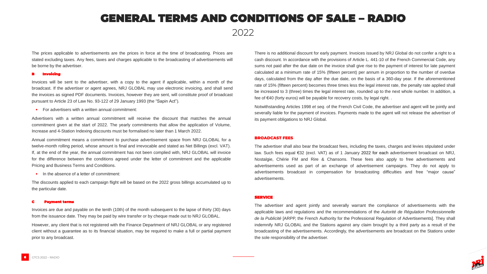The prices applicable to advertisements are the prices in force at the time of broadcasting. Prices are stated excluding taxes. Any fees, taxes and charges applicable to the broadcasting of advertisements will be borne by the advertiser.

#### <u>ivoicing</u>

Invoices will be sent to the advertiser, with a copy to the agent if applicable, within a month of the broadcast. If the advertiser or agent agrees, NRJ GLOBAL may use electronic invoicing, and shall send the invoices as signed PDF documents. Invoices, however they are sent, will constitute proof of broadcast pursuant to Article 23 of Law No. 93-122 of 29 January 1993 (the "Sapin Act").

**•** For advertisers with a written annual commitment:

Advertisers with a written annual commitment will receive the discount that matches the annual commitment given at the start of 2022. The yearly commitments that allow the application of Volume, Increase and 4-Station Indexing discounts must be formalised no later than 1 March 2022.

Annual commitment means a commitment to purchase advertisement space from NRJ GLOBAL for a twelve-month rolling period, whose amount is final and irrevocable and stated as Net Billings (excl. VAT). If, at the end of the year, the annual commitment has not been complied with, NRJ GLOBAL will invoice for the difference between the conditions agreed under the letter of commitment and the applicable Pricing and Business Terms and Conditions.

• In the absence of a letter of commitment:

The discounts applied to each campaign flight will be based on the 2022 gross billings accumulated up to the particular date.

#### C Payment terms

Invoices are due and payable on the tenth (10th) of the month subsequent to the lapse of thirty (30) days from the issuance date. They may be paid by wire transfer or by cheque made out to NRJ GLOBAL.

However, any client that is not registered with the Finance Department of NRJ GLOBAL or any registered client without a guarantee as to its financial situation, may be required to make a full or partial payment prior to any broadcast.

There is no additional discount for early payment. Invoices issued by NRJ Global do not confer a right to a cash discount. In accordance with the provisions of Article L. 441-10 of the French Commercial Code, any sums not paid after the due date on the invoice shall give rise to the payment of interest for late payment calculated at a minimum rate of 15% (fifteen percent) per annum in proportion to the number of overdue days, calculated from the day after the due date, on the basis of a 360-day year. If the aforementioned rate of 15% (fifteen percent) becomes three times less the legal interest rate, the penalty rate applied shall be increased to 3 (three) times the legal interest rate, rounded up to the next whole number. In addition, a fee of €40 (forty euros) will be payable for recovery costs, by legal right. .

Notwithstanding Articles 1998 *et seq.* of the French Civil Code, the advertiser and agent will be jointly and severally liable for the payment of invoices. Payments made to the agent will not release the advertiser of its payment obligations to NRJ Global.

#### BROADCAST FEES

The advertiser shall also bear the broadcast fees, including the taxes, charges and levies stipulated under law. Such fees equal €32 (excl. VAT) as of 1 January 2022 for each advertisement broadcast on NRJ, Nostalgie, Chérie FM and Rire & Chansons. These fees also apply to free advertisements and advertisements used as part of an exchange of advertisement campaigns. They do not apply to advertisements broadcast in compensation for broadcasting difficulties and free "major cause" advertisements.

#### SERVICE

The advertiser and agent jointly and severally warrant the compliance of advertisements with the applicable laws and regulations and the recommendations of the *Autorité de Régulation Professionnelle de la Publicité* [ARPP, the French Authority for the Professional Regulation of Advertisements]. They shall indemnify NRJ GLOBAL and the Stations against any claim brought by a third party as a result of the broadcasting of the advertisements. Accordingly, the advertisements are broadcast on the Stations under the sole responsibility of the advertiser.

### GENERAL TERMS AND CONDITIONS OF SALE – RADIO

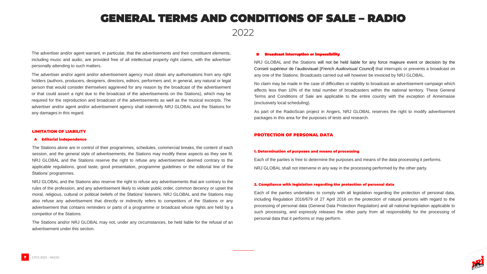The advertiser and/or agent warrant, in particular, that the advertisements and their constituent elements, including music and audio, are provided free of all intellectual property right claims, with the advertiser personally attending to such matters.

The advertiser and/or agent and/or advertisement agency must obtain any authorisations from any right holders (authors, producers, designers, directors, editors, performers and, in general, any natural or legal person that would consider themselves aggrieved for any reason by the broadcast of the advertisement or that could assert a right due to the broadcast of the advertisements on the Stations), which may be required for the reproduction and broadcast of the advertisements as well as the musical excerpts. The advertiser and/or agent and/or advertisement agency shall indemnify NRJ GLOBAL and the Stations for any damages in this regard.

#### LIMITATION OF LIABILITY

#### A Editorial independence

The Stations alone are in control of their programmes, schedules, commercial breaks, the content of each session, and the general style of advertisements; the Stations may modify these aspects as they see fit. NRJ GLOBAL and the Stations reserve the right to refuse any advertisement deemed contrary to the applicable regulations, good taste, good presentation, programme guidelines or the editorial line of the Stations' programmes.

NRJ GLOBAL and the Stations also reserve the right to refuse any advertisements that are contrary to the rules of the profession, and any advertisement likely to violate public order, common decency or upset the moral, religious, cultural or political beliefs of the Stations' listeners. NRJ GLOBAL and the Stations may also refuse any advertisement that directly or indirectly refers to competitors of the Stations or any advertisement that contains reminders or parts of a programme or broadcast whose rights are held by a competitor of the Stations.

The Stations and/or NRJ GLOBAL may not, under any circumstances, be held liable for the refusal of an advertisement under this section.

#### Broadcast interruption or impossibility

NRJ GLOBAL and the Stations will not be held liable for any force majeure event or decision by the Conseil supérieur de l'audiovisuel [*French Audiovisual Council*] that interrupts or prevents a broadcast on any one of the Stations. Broadcasts carried out will however be invoiced by NRJ GLOBAL.

No claim may be made in the case of difficulties or inability to broadcast an advertisement campaign which affects less than 10% of the total number of broadcasters within the national territory. These General Terms and Conditions of Sale are applicable to the entire country with the exception of Annemasse (exclusively local scheduling).

As part of the RadioScan project in Angers, NRJ GLOBAL reserves the right to modify advertisement packages in this area for the purposes of tests and research.

#### PROTECTION OF PERSONAL DATA

#### 1. Determination of purposes and means of processing

Each of the parties is free to determine the purposes and means of the data processing it performs. NRJ GLOBAL shall not intervene in any way in the processing performed by the other party.

#### 2. Compliance with legislation regarding the protection of personal data

Each of the parties undertakes to comply with all legislation regarding the protection of personal data, including Regulation 2016/679 of 27 April 2016 on the protection of natural persons with regard to the processing of personal data (General Data Protection Regulation) and all national legislation applicable to such processing, and expressly releases the other party from all responsibility for the processing of personal data that it performs or may perform.



### GENERAL TERMS AND CONDITIONS OF SALE – RADIO